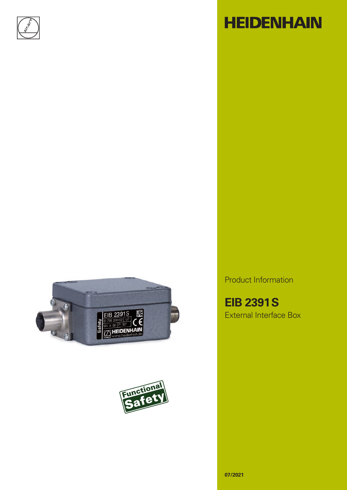





# **HEIDENHAIN**

Product Information

**EIB 2391S** External Interface Box

**07/2021**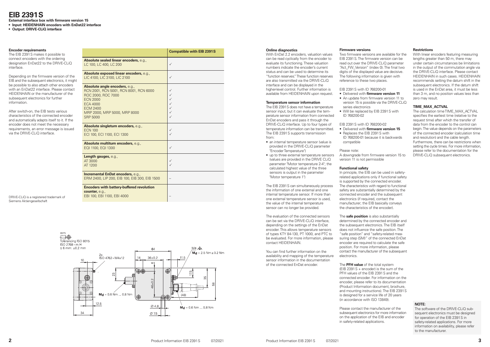## **EIB 2391S**

**External interface box with firmware version 15**

**• Input: HEIDENHAIN encoders with EnDat22 interface**

**• Output: DRIVE-CLiQ interface**

DRIVE-CLiQ is a registered trademark of Siemens Aktiengesellschaft



### **Encoder requirements**

The EIB 2391S makes it possible to connect encoders with the ordering designation EnDat22 to the DRIVE-CLiQ interface.

Depending on the firmware version of the EIB and the subsequent electronics, it might be possible to also attach other encoders with an EnDat22 interface. Please contact HEIDENHAIN or the manufacturer of the subsequent electronics for further information.

After switch-on, the EIB tests various characteristics of the connected encoder and automatically adapts itself to it. If the encoder does not meet the necessary requirements, an error message is issued via the DRIVE-CLiQ interface.

The EIB 2391 S does not have a temperature sensor input, but it can evaluate the temperature sensor information from connected EnDat encoders and pass it through the DRIVE-CLiQ interface. Up to four types of temperature information can be transmitted. The EIB 2391S supports transmission from:

### **Online diagnostics**

The EIB 2391 S can simultaneously process the information of one external and one internal temperature sensor. If more than one external temperature sensor is used, the value of the internal temperature sensor can no longer be provided.

With EnDat 2.2 encoders, valuation values can be read cyclically from the encoder to evaluate its functioning. These valuation numbers indicate the encoder's current status and can be used to determine its "function reserves." These function reserves are also transmitted via the DRIVE-CLiQ interface and can be displayed in the higher-level control. Further information is available from HEIDENHAIN upon request.

### **Temperature sensor information**

- an internal temperature sensor (value is provided in the DRIVE-CLiQ parameter "Encoder Temperature")
- up to three external temperature sensors (values are provided in the DRIVE CLiQ parameter "Motor temperature 2-4"; the calculated highest value of the three sensors is output in the parameter "Motor temperature 1")

The evaluation of the connected sensors can be set via the DRIVE-CLiQ interface, depending on the settings of the EnDat encoder. This allows temperature sensors of types KTY 84-130, PT 1000, and PTC to be evaluated. For more information, please contact HEIDENHAIN.

You can find further information on the availability and mapping of the temperature sensor information in the documentation of the connected EnDat encoder.

### **Firmware versions**

Two firmware versions are available for the EIB 2391S. The firmware version can be read out over the DRIVE-CLiQ parameter "Act\_FW\_Version" (index 0). The final two digits of the displayed value are decisive. The following information is given with reference to these two places.

EIB 2391S with ID 768200-01

## • Delivered with **firmware version 11**

• An update from firmware version 11 to version 15 is possible via the DRIVE-CLiQ

• Will be replaced by EIB 2391 S with

series electronics

ID 768200-02

EIB 2391S with ID 768200-02

• Delivered with **firmware version 15**

• Replaces the EIB 2391S with compatible

ID 768200-01 because it is backwards

Please note: A downgrade from firmware version 15 to version 11 is not permissible

## **Functional safety**

In principle, the EIB can be used in safetyrelated applications only if functional safety is supported by the connected encoder. The characteristics with regard to functional safety are substantially determined by the connected encoder and the subsequent electronics (if required, contact the manufacturer; the EIB basically conveys the characteristics of the encoder).

The **safe position** is also substantially determined by the connected encoder and the subsequent electronics. The EIB itself does not influence the safe position. The "safe position" and "safety-related measuring step (SM)" of the connected EnDat encoder are required to calculate the safe position. For more information, please contact the manufacturer of the subsequent electronics.

The **PFH value** of the total system (EIB 2391S + encoder) is the sum of the PFH values of the EIB 2391S and the connected encoder. For information on the encoder, please refer to its documentation (Product Information document, brochure, and mounting instructions). The EIB 2391S is designed for a service life of 20 years (in accordance with ISO 13849).

Please contact the manufacturer of the subsequent electronics for more information on the application of the EIB and encoder in safety-related applications.

## **Restrictions**

With linear encoders featuring measuring lengths greater than 50 m, there may under certain circumstances be limitations in the output of the commutation angle via the DRIVE-CLiQ interface. Please contact HEIDENHAIN in such cases. HEIDENHAIN recommends setting the datum shift in the subsequent electronics. If the datum shift is used in the EnDat area, it must be less than 3 m, and no position values less than zero may result.

## <span id="page-1-0"></span>**TIME\_MAX\_ACTVAL**

The calculation time TIME\_MAX\_ACTVAL specifies the earliest time (relative to the request time) after which the transfer of data from the encoder to the control can begin. The value depends on the parameters of the connected encoder (calculation time and resolution) and the cable length. Furthermore, there can be restrictions when setting the cycle times. For more information, please refer to the documentation for the DRIVE-CLiQ subsequent electronics.

### **NOTE:**

The software of the DRIVE-CLiQ subsequent electronics must be designed for operation of the EIB 2391S in safety-related applications. For more information on availability, please refer to the manufacturer.

**Compatible with EIB 2391S**

|                                                                                                                                                                                                            | $30111$ patibio with Lib Loo                                     |
|------------------------------------------------------------------------------------------------------------------------------------------------------------------------------------------------------------|------------------------------------------------------------------|
| Absolute sealed linear encoders, e.g.,<br>LC 100, LC 400, LC 200                                                                                                                                           | $\checkmark$                                                     |
| Absolute exposed linear encoders, e.g.,<br>LIC 4100, LIC 3100, LIC 2100                                                                                                                                    | $\checkmark$                                                     |
| Absolute angle encoders, e.g.,<br>RCN 2001, RCN 5001, RCN 8001, RCN 6000<br>ROC 2000, ROC 7000<br><b>ECN 2000</b><br><b>ECA 4000</b><br><b>ECM 2400</b><br>MRP 2000, MRP 5000, MRP 8000<br><b>SRP 5000</b> | ✓<br>$\checkmark$<br>$\checkmark$<br>$\checkmark$<br>✓<br>✓<br>✓ |
| Absolute singleturn encoders, e.g.,<br><b>ECN 100</b><br>ECI 100, ECI 1100, ECI 1300                                                                                                                       | ✓<br>✓                                                           |
| Absolute multiturn encoders, e.g.,<br>EQI 1100, EQI 1300                                                                                                                                                   | $\checkmark$                                                     |
| Length gauges, e.g.,<br>AT 3000<br>AT 1200                                                                                                                                                                 | $\checkmark$<br>$\checkmark$                                     |
| Incremental EnDat encoders, e.g.,<br>ERM 2400, LIP 200, EIB 100, EIB 300, EIB 1500                                                                                                                         |                                                                  |
| <b>Encoders with battery-buffered revolution</b><br>counter, e.g.,<br>EBI 100, EBI 1100, EBI 4000                                                                                                          |                                                                  |